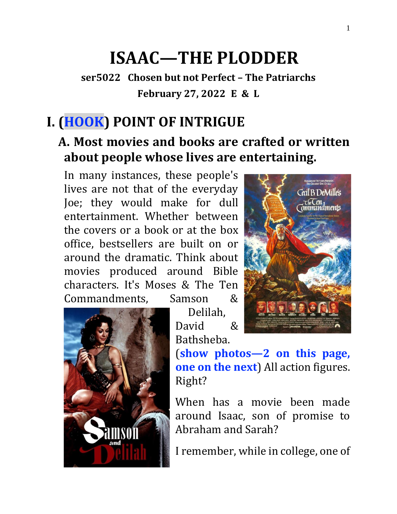# **ISAAC—THE PLODDER**

**ser5022 Chosen but not Perfect – The Patriarchs February 27, 2022 E & L**

## **I. (HOOK) POINT OF INTRIGUE**

### **A. Most movies and books are crafted or written about people whose lives are entertaining.**

Delilah,

In many instances, these people's lives are not that of the everyday Joe; they would make for dull entertainment. Whether between the covers or a book or at the box office, bestsellers are built on or around the dramatic. Think about movies produced around Bible characters. It's Moses & The Ten Commandments, Samson &





(**show photos—2 on this page, one on the next**) All action figures. Right?

When has a movie been made around Isaac, son of promise to Abraham and Sarah?

I remember, while in college, one of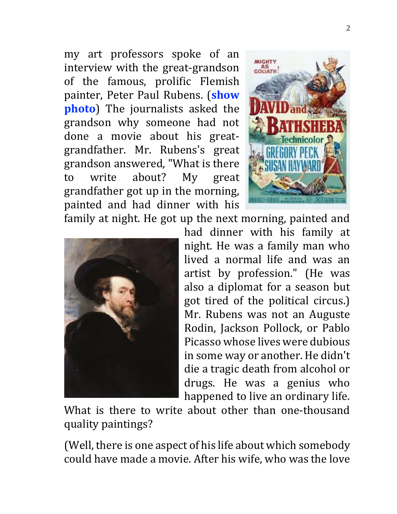my art professors spoke of an interview with the great-grandson of the famous, prolific Flemish painter, Peter Paul Rubens. (**show photo**) The journalists asked the grandson why someone had not done a movie about his greatgrandfather. Mr. Rubens's great grandson answered, "What is there to write about? My great grandfather got up in the morning, painted and had dinner with his



family at night. He got up the next morning, painted and



had dinner with his family at night. He was a family man who lived a normal life and was an artist by profession." (He was also a diplomat for a season but got tired of the political circus.) Mr. Rubens was not an Auguste Rodin, Jackson Pollock, or Pablo Picasso whose lives were dubious in some way or another. He didn't die a tragic death from alcohol or drugs. He was a genius who happened to live an ordinary life.

What is there to write about other than one-thousand quality paintings?

(Well, there is one aspect of his life about which somebody could have made a movie. After his wife, who was the love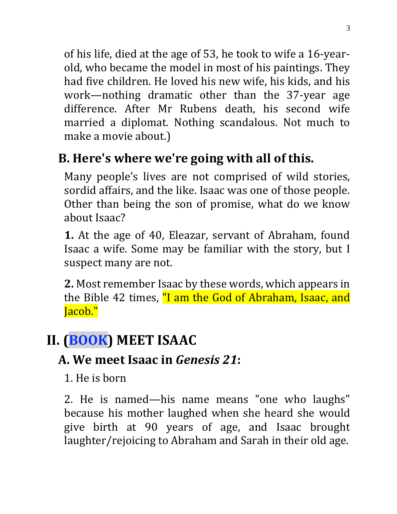of his life, died at the age of 53, he took to wife a 16-yearold, who became the model in most of his paintings. They had five children. He loved his new wife, his kids, and his work—nothing dramatic other than the 37-year age difference. After Mr Rubens death, his second wife married a diplomat. Nothing scandalous. Not much to make a movie about.)

# **B. Here's where we're going with all of this.**

Many people's lives are not comprised of wild stories, sordid affairs, and the like. Isaac was one of those people. Other than being the son of promise, what do we know about Isaac?

**1.** At the age of 40, Eleazar, servant of Abraham, found Isaac a wife. Some may be familiar with the story, but I suspect many are not.

**2.** Most remember Isaac by these words, which appears in the Bible 42 times, "I am the God of Abraham, Isaac, and Jacob."

# **II. (BOOK) MEET ISAAC**

#### **A. We meet Isaac in** *Genesis 21***:**

1. He is born

2. He is named—his name means "one who laughs" because his mother laughed when she heard she would give birth at 90 years of age, and Isaac brought laughter/rejoicing to Abraham and Sarah in their old age.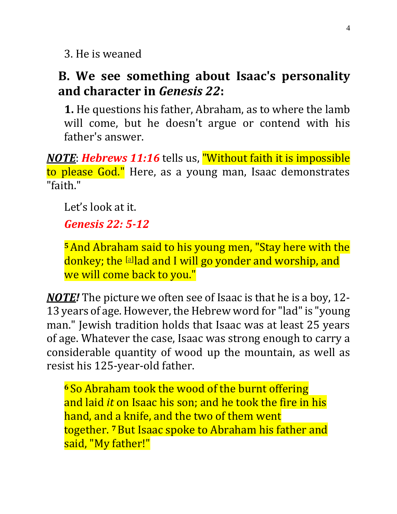3. He is weaned

#### **B. We see something about Isaac's personality and character in** *Genesis 22***:**

**1.** He questions his father, Abraham, as to where the lamb will come, but he doesn't argue or contend with his father's answer.

*NOTE*: *Hebrews 11:16* tells us, "Without faith it is impossible to please God." Here, as a young man, Isaac demonstrates "faith."

Let's look at it.

#### *Genesis 22: 5-12*

**<sup>5</sup>**And Abraham said to his young men, "Stay here with the donkey; the [\[a\]](https://www.biblegateway.com/passage/?search=Genesis+22&version=NKJV#fen-NKJV-553a) lad and I will go yonder and worship, and we will come back to you."

*NOTE!* The picture we often see of Isaac is that he is a boy, 12- 13 years of age. However, the Hebrew word for "lad"is "young man." Jewish tradition holds that Isaac was at least 25 years of age. Whatever the case, Isaac was strong enough to carry a considerable quantity of wood up the mountain, as well as resist his 125-year-old father.

**<sup>6</sup>** So Abraham took the wood of the burnt offering and laid *it* on Isaac his son; and he took the fire in his hand, and a knife, and the two of them went together. **<sup>7</sup>**But Isaac spoke to Abraham his father and said, "My father!"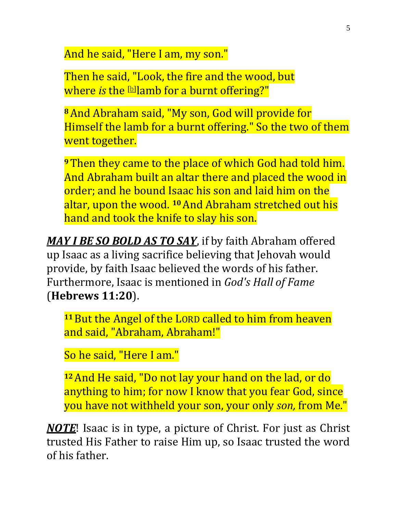And he said, "Here I am, my son."

Then he said, "Look, the fire and the wood, but where *is* the [\[b\]](https://www.biblegateway.com/passage/?search=Genesis+22&version=NKJV#fen-NKJV-555b) lamb for a burnt offering?"

**<sup>8</sup>**And Abraham said, "My son, God will provide for Himself the lamb for a burnt offering." So the two of them went together.

**<sup>9</sup>**Then they came to the place of which God had told him. And Abraham built an altar there and placed the wood in order; and he bound Isaac his son and laid him on the altar, upon the wood. **<sup>10</sup>**And Abraham stretched out his hand and took the knife to slay his son.

*MAY I BE SO BOLD AS TO SAY*, if by faith Abraham offered up Isaac as a living sacrifice believing that Jehovah would provide, by faith Isaac believed the words of his father. Furthermore, Isaac is mentioned in *God's Hall of Fame* (**Hebrews 11:20**).

**<sup>11</sup>**But the Angel of the LORD called to him from heaven and said, "Abraham, Abraham!"

So he said, "Here I am."

**<sup>12</sup>**And He said, "Do not lay your hand on the lad, or do anything to him; for now I know that you fear God, since you have not withheld your son, your only *son,* from Me."

*NOTE*! Isaac is in type, a picture of Christ. For just as Christ trusted His Father to raise Him up, so Isaac trusted the word of his father.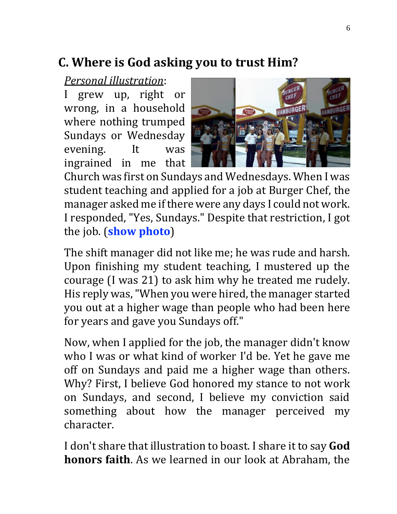### **C. Where is God asking you to trust Him?**

#### *Personal illustration*:

I grew up, right or wrong, in a household where nothing trumped Sundays or Wednesday evening. It was ingrained in me that



Church was first on Sundays and Wednesdays. When I was student teaching and applied for a job at Burger Chef, the manager asked me if there were any days I could not work. I responded, "Yes, Sundays." Despite that restriction, I got the job. (**show photo**)

The shift manager did not like me; he was rude and harsh. Upon finishing my student teaching, I mustered up the courage (I was 21) to ask him why he treated me rudely. His reply was, "When you were hired, the manager started you out at a higher wage than people who had been here for years and gave you Sundays off."

Now, when I applied for the job, the manager didn't know who I was or what kind of worker I'd be. Yet he gave me off on Sundays and paid me a higher wage than others. Why? First, I believe God honored my stance to not work on Sundays, and second, I believe my conviction said something about how the manager perceived my character.

I don't share that illustration to boast. I share it to say **God honors faith**. As we learned in our look at Abraham, the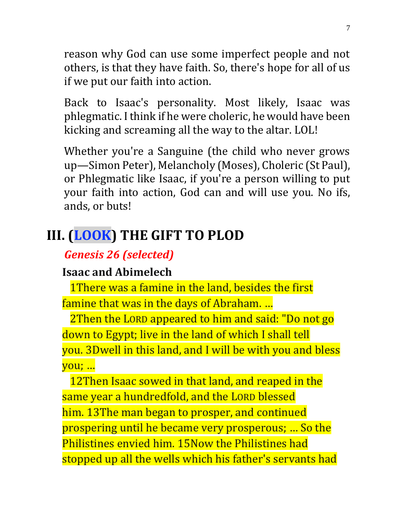reason why God can use some imperfect people and not others, is that they have faith. So, there's hope for all of us if we put our faith into action.

Back to Isaac's personality. Most likely, Isaac was phlegmatic. I think if he were choleric, he would have been kicking and screaming all the way to the altar. LOL!

Whether you're a Sanguine (the child who never grows up—Simon Peter), Melancholy (Moses), Choleric (St Paul), or Phlegmatic like Isaac, if you're a person willing to put your faith into action, God can and will use you. No ifs, ands, or buts!

### **III. (LOOK) THE GIFT TO PLOD**

#### *Genesis 26 (selected)*

#### **Isaac and Abimelech**

1There was a famine in the land, besides the first famine that was in the days of Abraham. …

2Then the LORD appeared to him and said: "Do not go down to Egypt; live in the land of which I shall tell you. 3Dwell in this land, and I will be with you and bless you; …

12Then Isaac sowed in that land, and reaped in the same year a hundredfold, and the LORD blessed him. 13The man began to prosper, and continued prospering until he became very prosperous; … So the Philistines envied him. 15Now the Philistines had stopped up all the wells which his father's servants had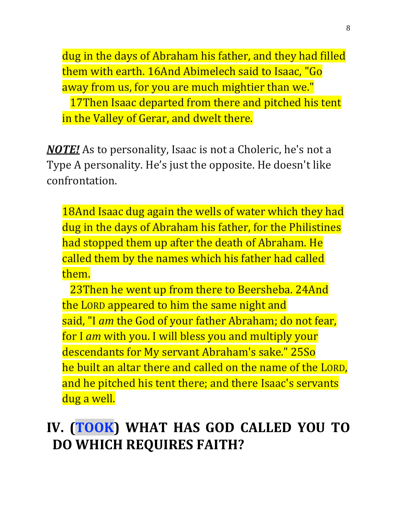dug in the days of Abraham his father, and they had filled them with earth. 16And Abimelech said to Isaac, "Go away from us, for you are much mightier than we." 17Then Isaac departed from there and pitched his tent in the Valley of Gerar, and dwelt there.

*NOTE!* As to personality, Isaac is not a Choleric, he's not a Type A personality. He's just the opposite. He doesn't like confrontation.

18And Isaac dug again the wells of water which they had dug in the days of Abraham his father, for the Philistines had stopped them up after the death of Abraham. He called them by the names which his father had called them.

23Then he went up from there to Beersheba. 24And the LORD appeared to him the same night and said, "I *am* the God of your father Abraham; do not fear, for I *am* with you. I will bless you and multiply your descendants for My servant Abraham's sake." 25So he built an altar there and called on the name of the LORD, and he pitched his tent there; and there Isaac's servants dug a well.

# **IV. (TOOK) WHAT HAS GOD CALLED YOU TO DO WHICH REQUIRES FAITH?**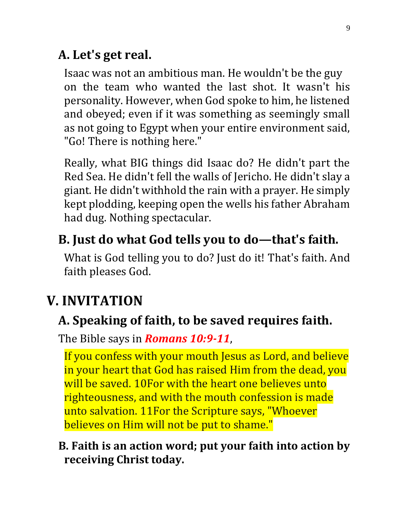### **A. Let's get real.**

Isaac was not an ambitious man. He wouldn't be the guy on the team who wanted the last shot. It wasn't his personality. However, when God spoke to him, he listened and obeyed; even if it was something as seemingly small as not going to Egypt when your entire environment said, "Go! There is nothing here."

Really, what BIG things did Isaac do? He didn't part the Red Sea. He didn't fell the walls of Jericho. He didn't slay a giant. He didn't withhold the rain with a prayer. He simply kept plodding, keeping open the wells his father Abraham had dug. Nothing spectacular.

### **B. Just do what God tells you to do—that's faith.**

What is God telling you to do? Just do it! That's faith. And faith pleases God.

### **V. INVITATION**

### **A. Speaking of faith, to be saved requires faith.**

The Bible says in *Romans 10:9-11*,

If you confess with your mouth Jesus as Lord, and believe in your heart that God has raised Him from the dead, you will be saved. 10For with the heart one believes unto righteousness, and with the mouth confession is made unto salvation. 11For the Scripture says, "Whoever believes on Him will not be put to shame."

#### **B. Faith is an action word; put your faith into action by receiving Christ today.**